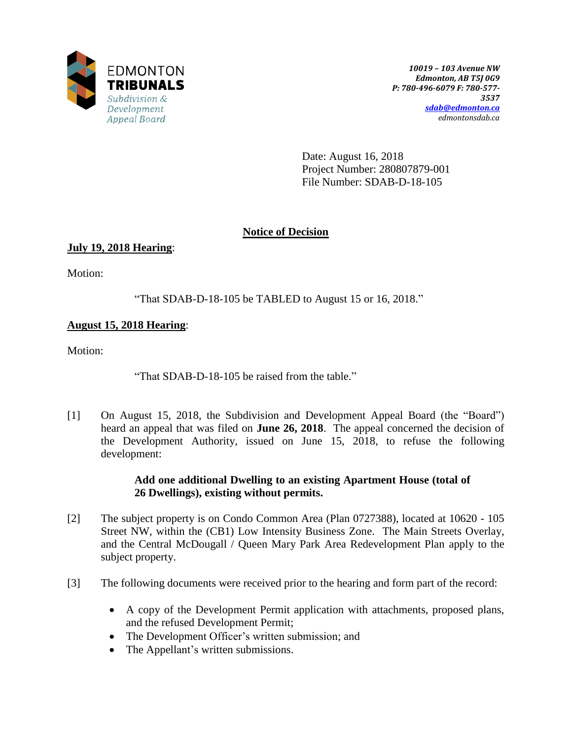

Date: August 16, 2018 Project Number: 280807879-001 File Number: SDAB-D-18-105

# **Notice of Decision**

# **July 19, 2018 Hearing**:

Motion:

"That SDAB-D-18-105 be TABLED to August 15 or 16, 2018."

# **August 15, 2018 Hearing**:

Motion:

"That SDAB-D-18-105 be raised from the table."

[1] On August 15, 2018, the Subdivision and Development Appeal Board (the "Board") heard an appeal that was filed on **June 26, 2018**. The appeal concerned the decision of the Development Authority, issued on June 15, 2018, to refuse the following development:

## **Add one additional Dwelling to an existing Apartment House (total of 26 Dwellings), existing without permits.**

- [2] The subject property is on Condo Common Area (Plan 0727388), located at 10620 105 Street NW, within the (CB1) Low Intensity Business Zone. The Main Streets Overlay, and the Central McDougall / Queen Mary Park Area Redevelopment Plan apply to the subject property.
- [3] The following documents were received prior to the hearing and form part of the record:
	- A copy of the Development Permit application with attachments, proposed plans, and the refused Development Permit;
	- The Development Officer's written submission; and
	- The Appellant's written submissions.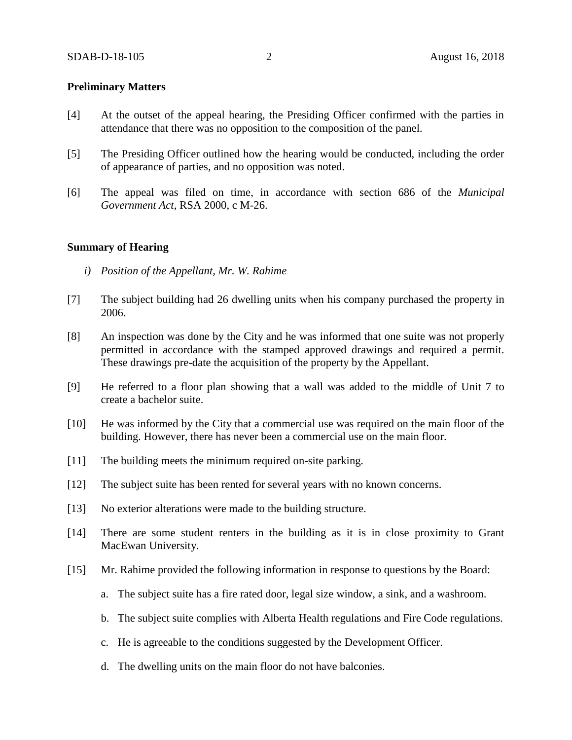### **Preliminary Matters**

- [4] At the outset of the appeal hearing, the Presiding Officer confirmed with the parties in attendance that there was no opposition to the composition of the panel.
- [5] The Presiding Officer outlined how the hearing would be conducted, including the order of appearance of parties, and no opposition was noted.
- [6] The appeal was filed on time, in accordance with section 686 of the *Municipal Government Act*, RSA 2000, c M-26.

### **Summary of Hearing**

- *i) Position of the Appellant, Mr. W. Rahime*
- [7] The subject building had 26 dwelling units when his company purchased the property in 2006.
- [8] An inspection was done by the City and he was informed that one suite was not properly permitted in accordance with the stamped approved drawings and required a permit. These drawings pre-date the acquisition of the property by the Appellant.
- [9] He referred to a floor plan showing that a wall was added to the middle of Unit 7 to create a bachelor suite.
- [10] He was informed by the City that a commercial use was required on the main floor of the building. However, there has never been a commercial use on the main floor.
- [11] The building meets the minimum required on-site parking.
- [12] The subject suite has been rented for several years with no known concerns.
- [13] No exterior alterations were made to the building structure.
- [14] There are some student renters in the building as it is in close proximity to Grant MacEwan University.
- [15] Mr. Rahime provided the following information in response to questions by the Board:
	- a. The subject suite has a fire rated door, legal size window, a sink, and a washroom.
	- b. The subject suite complies with Alberta Health regulations and Fire Code regulations.
	- c. He is agreeable to the conditions suggested by the Development Officer.
	- d. The dwelling units on the main floor do not have balconies.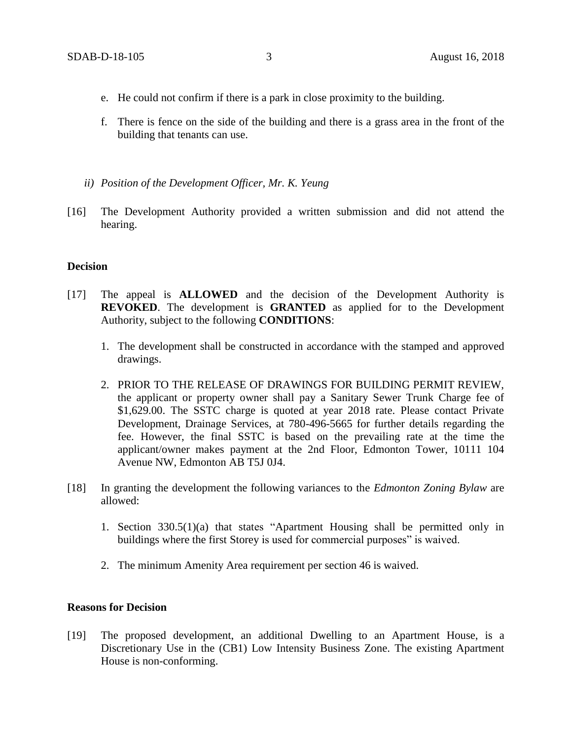- e. He could not confirm if there is a park in close proximity to the building.
- f. There is fence on the side of the building and there is a grass area in the front of the building that tenants can use.
- *ii) Position of the Development Officer, Mr. K. Yeung*
- [16] The Development Authority provided a written submission and did not attend the hearing.

#### **Decision**

- [17] The appeal is **ALLOWED** and the decision of the Development Authority is **REVOKED**. The development is **GRANTED** as applied for to the Development Authority, subject to the following **CONDITIONS**:
	- 1. The development shall be constructed in accordance with the stamped and approved drawings.
	- 2. PRIOR TO THE RELEASE OF DRAWINGS FOR BUILDING PERMIT REVIEW, the applicant or property owner shall pay a Sanitary Sewer Trunk Charge fee of \$1,629.00. The SSTC charge is quoted at year 2018 rate. Please contact Private Development, Drainage Services, at 780-496-5665 for further details regarding the fee. However, the final SSTC is based on the prevailing rate at the time the applicant/owner makes payment at the 2nd Floor, Edmonton Tower, 10111 104 Avenue NW, Edmonton AB T5J 0J4.
- [18] In granting the development the following variances to the *Edmonton Zoning Bylaw* are allowed:
	- 1. Section 330.5(1)(a) that states "Apartment Housing shall be permitted only in buildings where the first Storey is used for commercial purposes" is waived.
	- 2. The minimum Amenity Area requirement per section 46 is waived.

#### **Reasons for Decision**

[19] The proposed development, an additional Dwelling to an Apartment House, is a Discretionary Use in the (CB1) Low Intensity Business Zone. The existing Apartment House is non-conforming.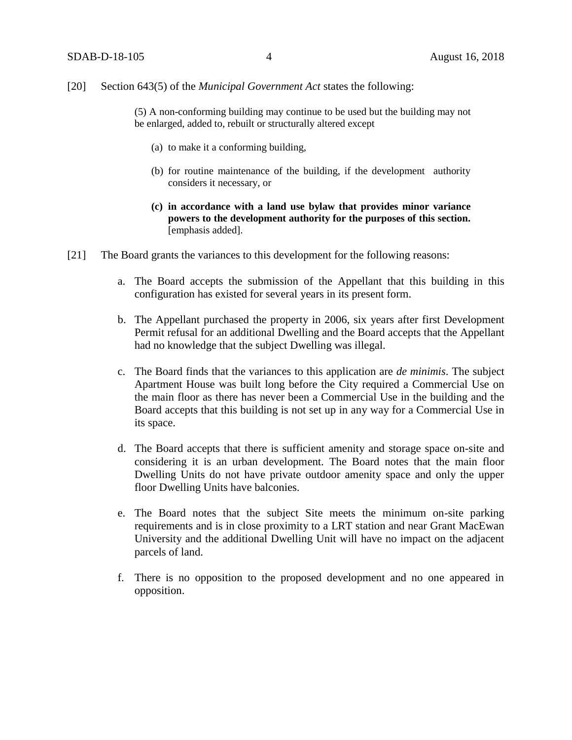### [20] Section 643(5) of the *Municipal Government Act* states the following:

(5) A non-conforming building may continue to be used but the building may not be enlarged, added to, rebuilt or structurally altered except

- (a) to make it a conforming building,
- (b) for routine maintenance of the building, if the development authority considers it necessary, or
- **(c) in accordance with a land use bylaw that provides minor variance powers to the development authority for the purposes of this section.** [emphasis added].
- [21] The Board grants the variances to this development for the following reasons:
	- a. The Board accepts the submission of the Appellant that this building in this configuration has existed for several years in its present form.
	- b. The Appellant purchased the property in 2006, six years after first Development Permit refusal for an additional Dwelling and the Board accepts that the Appellant had no knowledge that the subject Dwelling was illegal.
	- c. The Board finds that the variances to this application are *de minimis*. The subject Apartment House was built long before the City required a Commercial Use on the main floor as there has never been a Commercial Use in the building and the Board accepts that this building is not set up in any way for a Commercial Use in its space.
	- d. The Board accepts that there is sufficient amenity and storage space on-site and considering it is an urban development. The Board notes that the main floor Dwelling Units do not have private outdoor amenity space and only the upper floor Dwelling Units have balconies.
	- e. The Board notes that the subject Site meets the minimum on-site parking requirements and is in close proximity to a LRT station and near Grant MacEwan University and the additional Dwelling Unit will have no impact on the adjacent parcels of land.
	- f. There is no opposition to the proposed development and no one appeared in opposition.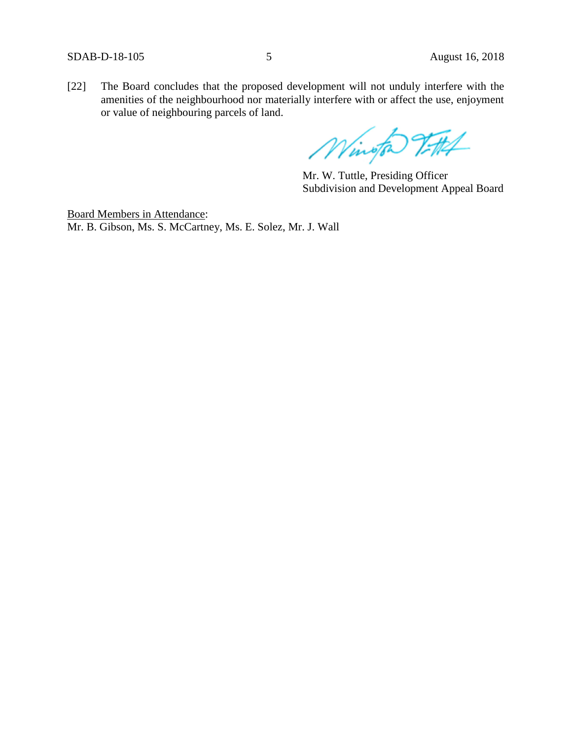[22] The Board concludes that the proposed development will not unduly interfere with the amenities of the neighbourhood nor materially interfere with or affect the use, enjoyment or value of neighbouring parcels of land.

Wington Vittel

Mr. W. Tuttle, Presiding Officer Subdivision and Development Appeal Board

Board Members in Attendance: Mr. B. Gibson, Ms. S. McCartney, Ms. E. Solez, Mr. J. Wall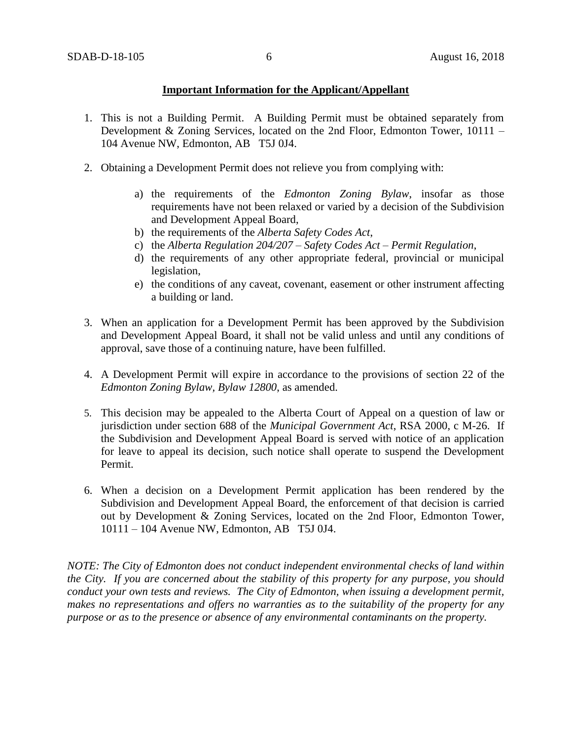## **Important Information for the Applicant/Appellant**

- 1. This is not a Building Permit. A Building Permit must be obtained separately from Development & Zoning Services, located on the 2nd Floor, Edmonton Tower, 10111 – 104 Avenue NW, Edmonton, AB T5J 0J4.
- 2. Obtaining a Development Permit does not relieve you from complying with:
	- a) the requirements of the *Edmonton Zoning Bylaw*, insofar as those requirements have not been relaxed or varied by a decision of the Subdivision and Development Appeal Board,
	- b) the requirements of the *Alberta Safety Codes Act*,
	- c) the *Alberta Regulation 204/207 – Safety Codes Act – Permit Regulation*,
	- d) the requirements of any other appropriate federal, provincial or municipal legislation,
	- e) the conditions of any caveat, covenant, easement or other instrument affecting a building or land.
- 3. When an application for a Development Permit has been approved by the Subdivision and Development Appeal Board, it shall not be valid unless and until any conditions of approval, save those of a continuing nature, have been fulfilled.
- 4. A Development Permit will expire in accordance to the provisions of section 22 of the *Edmonton Zoning Bylaw, Bylaw 12800*, as amended.
- 5. This decision may be appealed to the Alberta Court of Appeal on a question of law or jurisdiction under section 688 of the *Municipal Government Act*, RSA 2000, c M-26. If the Subdivision and Development Appeal Board is served with notice of an application for leave to appeal its decision, such notice shall operate to suspend the Development Permit.
- 6. When a decision on a Development Permit application has been rendered by the Subdivision and Development Appeal Board, the enforcement of that decision is carried out by Development & Zoning Services, located on the 2nd Floor, Edmonton Tower, 10111 – 104 Avenue NW, Edmonton, AB T5J 0J4.

*NOTE: The City of Edmonton does not conduct independent environmental checks of land within the City. If you are concerned about the stability of this property for any purpose, you should conduct your own tests and reviews. The City of Edmonton, when issuing a development permit, makes no representations and offers no warranties as to the suitability of the property for any purpose or as to the presence or absence of any environmental contaminants on the property.*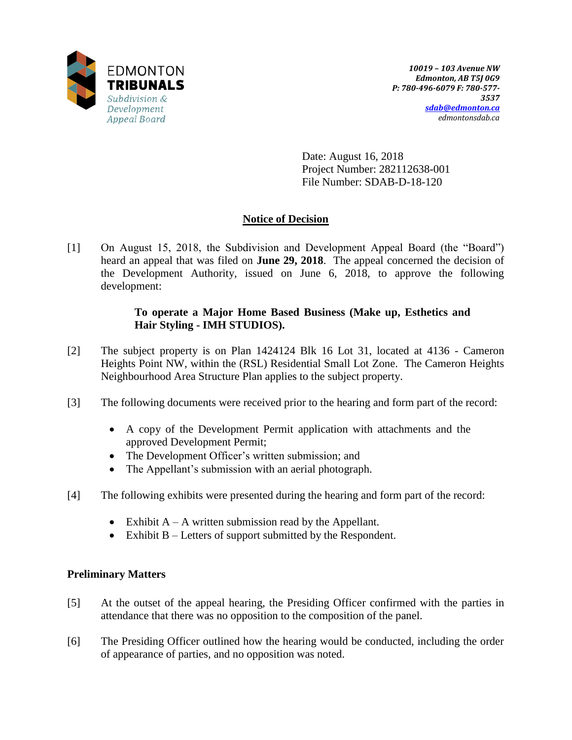

Date: August 16, 2018 Project Number: 282112638-001 File Number: SDAB-D-18-120

# **Notice of Decision**

[1] On August 15, 2018, the Subdivision and Development Appeal Board (the "Board") heard an appeal that was filed on **June 29, 2018**. The appeal concerned the decision of the Development Authority, issued on June 6, 2018, to approve the following development:

## **To operate a Major Home Based Business (Make up, Esthetics and Hair Styling - IMH STUDIOS).**

- [2] The subject property is on Plan 1424124 Blk 16 Lot 31, located at 4136 Cameron Heights Point NW, within the (RSL) Residential Small Lot Zone. The Cameron Heights Neighbourhood Area Structure Plan applies to the subject property.
- [3] The following documents were received prior to the hearing and form part of the record:
	- A copy of the Development Permit application with attachments and the approved Development Permit;
	- The Development Officer's written submission; and
	- The Appellant's submission with an aerial photograph.
- [4] The following exhibits were presented during the hearing and form part of the record:
	- Exhibit  $A A$  written submission read by the Appellant.
	- Exhibit  $B -$  Letters of support submitted by the Respondent.

## **Preliminary Matters**

- [5] At the outset of the appeal hearing, the Presiding Officer confirmed with the parties in attendance that there was no opposition to the composition of the panel.
- [6] The Presiding Officer outlined how the hearing would be conducted, including the order of appearance of parties, and no opposition was noted.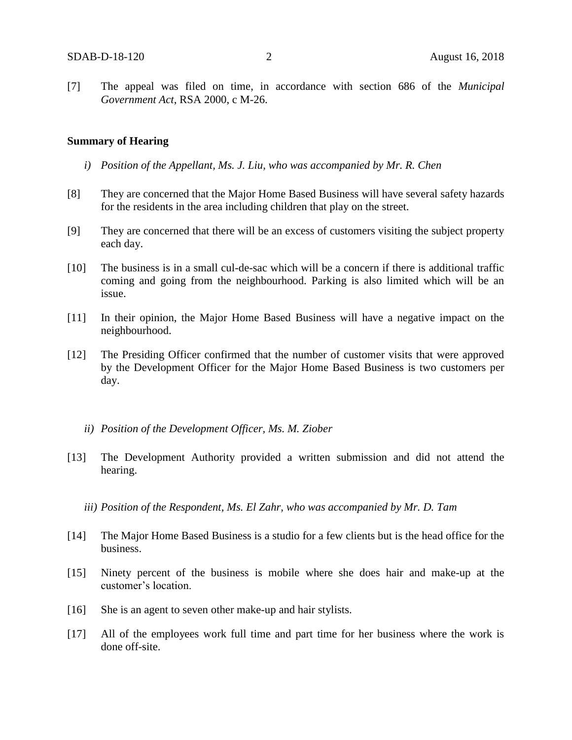[7] The appeal was filed on time, in accordance with section 686 of the *Municipal Government Act*, RSA 2000, c M-26.

#### **Summary of Hearing**

- *i) Position of the Appellant, Ms. J. Liu, who was accompanied by Mr. R. Chen*
- [8] They are concerned that the Major Home Based Business will have several safety hazards for the residents in the area including children that play on the street.
- [9] They are concerned that there will be an excess of customers visiting the subject property each day.
- [10] The business is in a small cul-de-sac which will be a concern if there is additional traffic coming and going from the neighbourhood. Parking is also limited which will be an issue.
- [11] In their opinion, the Major Home Based Business will have a negative impact on the neighbourhood.
- [12] The Presiding Officer confirmed that the number of customer visits that were approved by the Development Officer for the Major Home Based Business is two customers per day.
	- *ii) Position of the Development Officer, Ms. M. Ziober*
- [13] The Development Authority provided a written submission and did not attend the hearing.
	- *iii) Position of the Respondent, Ms. El Zahr, who was accompanied by Mr. D. Tam*
- [14] The Major Home Based Business is a studio for a few clients but is the head office for the business.
- [15] Ninety percent of the business is mobile where she does hair and make-up at the customer's location.
- [16] She is an agent to seven other make-up and hair stylists.
- [17] All of the employees work full time and part time for her business where the work is done off-site.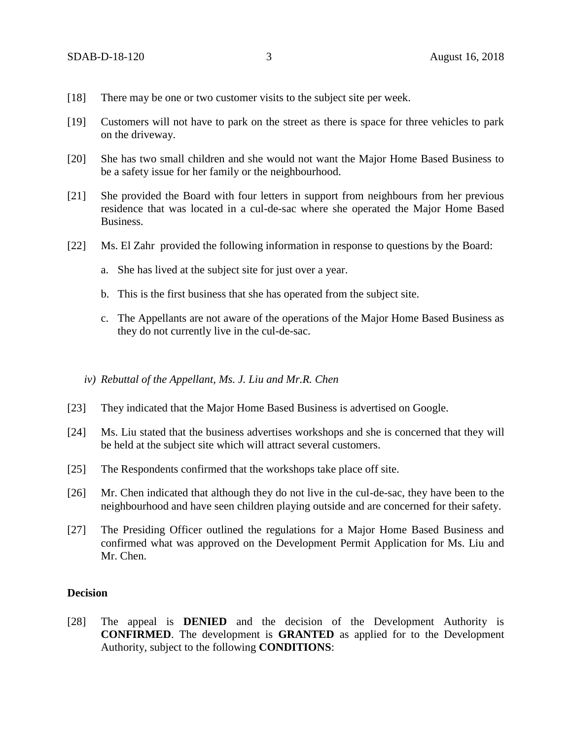- [18] There may be one or two customer visits to the subject site per week.
- [19] Customers will not have to park on the street as there is space for three vehicles to park on the driveway.
- [20] She has two small children and she would not want the Major Home Based Business to be a safety issue for her family or the neighbourhood.
- [21] She provided the Board with four letters in support from neighbours from her previous residence that was located in a cul-de-sac where she operated the Major Home Based Business.
- [22] Ms. El Zahr provided the following information in response to questions by the Board:
	- a. She has lived at the subject site for just over a year.
	- b. This is the first business that she has operated from the subject site.
	- c. The Appellants are not aware of the operations of the Major Home Based Business as they do not currently live in the cul-de-sac.
	- *iv) Rebuttal of the Appellant, Ms. J. Liu and Mr.R. Chen*
- [23] They indicated that the Major Home Based Business is advertised on Google.
- [24] Ms. Liu stated that the business advertises workshops and she is concerned that they will be held at the subject site which will attract several customers.
- [25] The Respondents confirmed that the workshops take place off site.
- [26] Mr. Chen indicated that although they do not live in the cul-de-sac, they have been to the neighbourhood and have seen children playing outside and are concerned for their safety.
- [27] The Presiding Officer outlined the regulations for a Major Home Based Business and confirmed what was approved on the Development Permit Application for Ms. Liu and Mr. Chen.

## **Decision**

[28] The appeal is **DENIED** and the decision of the Development Authority is **CONFIRMED**. The development is **GRANTED** as applied for to the Development Authority, subject to the following **CONDITIONS**: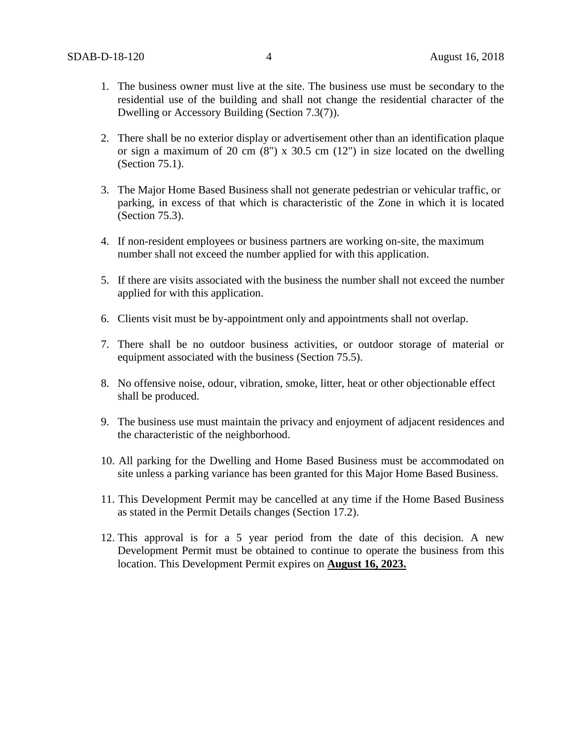- 1. The business owner must live at the site. The business use must be secondary to the residential use of the building and shall not change the residential character of the Dwelling or Accessory Building (Section 7.3(7)).
- 2. There shall be no exterior display or advertisement other than an identification plaque or sign a maximum of 20 cm  $(8)$  x 30.5 cm  $(12)$  in size located on the dwelling (Section 75.1).
- 3. The Major Home Based Business shall not generate pedestrian or vehicular traffic, or parking, in excess of that which is characteristic of the Zone in which it is located (Section 75.3).
- 4. If non-resident employees or business partners are working on-site, the maximum number shall not exceed the number applied for with this application.
- 5. If there are visits associated with the business the number shall not exceed the number applied for with this application.
- 6. Clients visit must be by-appointment only and appointments shall not overlap.
- 7. There shall be no outdoor business activities, or outdoor storage of material or equipment associated with the business (Section 75.5).
- 8. No offensive noise, odour, vibration, smoke, litter, heat or other objectionable effect shall be produced.
- 9. The business use must maintain the privacy and enjoyment of adjacent residences and the characteristic of the neighborhood.
- 10. All parking for the Dwelling and Home Based Business must be accommodated on site unless a parking variance has been granted for this Major Home Based Business.
- 11. This Development Permit may be cancelled at any time if the Home Based Business as stated in the Permit Details changes (Section 17.2).
- 12. This approval is for a 5 year period from the date of this decision. A new Development Permit must be obtained to continue to operate the business from this location. This Development Permit expires on **August 16, 2023.**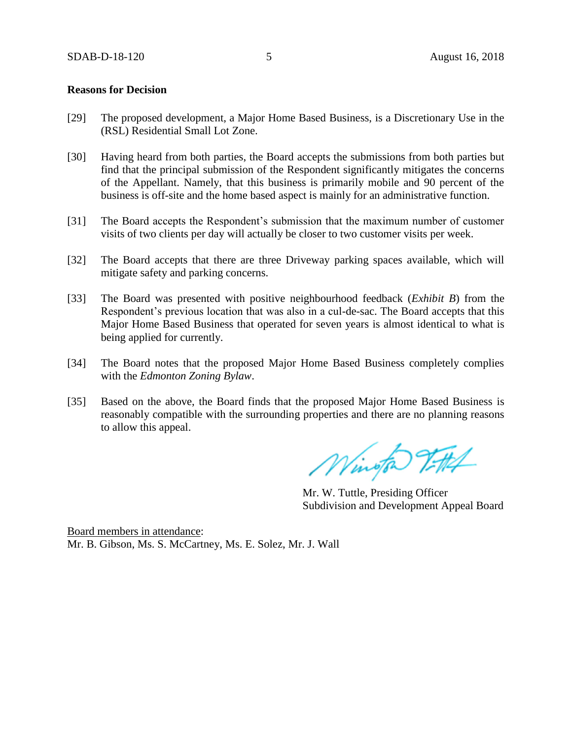### **Reasons for Decision**

- [29] The proposed development, a Major Home Based Business, is a Discretionary Use in the (RSL) Residential Small Lot Zone.
- [30] Having heard from both parties, the Board accepts the submissions from both parties but find that the principal submission of the Respondent significantly mitigates the concerns of the Appellant. Namely, that this business is primarily mobile and 90 percent of the business is off-site and the home based aspect is mainly for an administrative function.
- [31] The Board accepts the Respondent's submission that the maximum number of customer visits of two clients per day will actually be closer to two customer visits per week.
- [32] The Board accepts that there are three Driveway parking spaces available, which will mitigate safety and parking concerns.
- [33] The Board was presented with positive neighbourhood feedback (*Exhibit B*) from the Respondent's previous location that was also in a cul-de-sac. The Board accepts that this Major Home Based Business that operated for seven years is almost identical to what is being applied for currently.
- [34] The Board notes that the proposed Major Home Based Business completely complies with the *Edmonton Zoning Bylaw*.
- [35] Based on the above, the Board finds that the proposed Major Home Based Business is reasonably compatible with the surrounding properties and there are no planning reasons to allow this appeal.

Wington 7-114

Mr. W. Tuttle, Presiding Officer Subdivision and Development Appeal Board

Board members in attendance: Mr. B. Gibson, Ms. S. McCartney, Ms. E. Solez, Mr. J. Wall